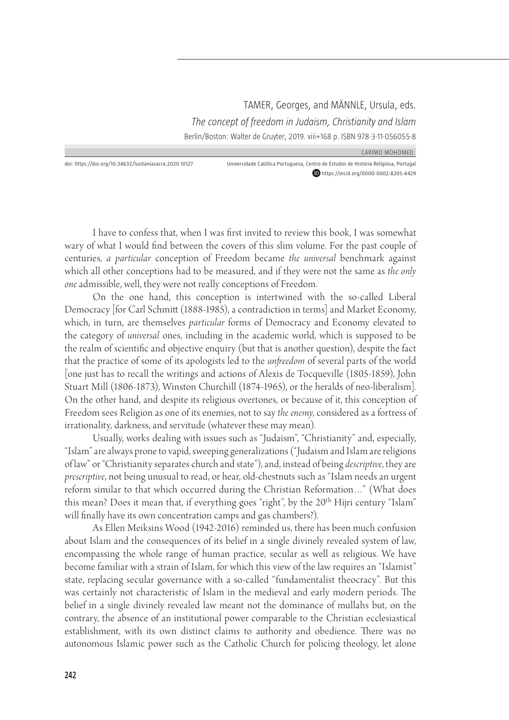TAMER, Georges, and MÄNNLE, Ursula, eds. *The concept of freedom in Judaism, Christianity and Islam*  Berlin/Boston: Walter de Gruyter, 2019. viii+168 p. ISBN 978-3-11-056055-8

CARIMO MOHOMED

doi: https://doi.org/10.34632/lusitaniasacra.2020.10127 Universidade Católica Portuguesa, Centro de Estudos de História Religiosa, Portugal https://orcid.org/0000-0002-8205-4429

I have to confess that, when I was first invited to review this book, I was somewhat wary of what I would find between the covers of this slim volume. For the past couple of centuries, *a particular* conception of Freedom became *the universal* benchmark against which all other conceptions had to be measured, and if they were not the same as *the only one* admissible, well, they were not really conceptions of Freedom.

On the one hand, this conception is intertwined with the so-called Liberal Democracy [for Carl Schmitt (1888-1985), a contradiction in terms] and Market Economy, which, in turn, are themselves *particular* forms of Democracy and Economy elevated to the category of *universal* ones, including in the academic world, which is supposed to be the realm of scientific and objective enquiry (but that is another question), despite the fact that the practice of some of its apologists led to the *unfreedom* of several parts of the world [one just has to recall the writings and actions of Alexis de Tocqueville (1805-1859), John Stuart Mill (1806-1873), Winston Churchill (1874-1965), or the heralds of neo-liberalism]. On the other hand, and despite its religious overtones, or because of it, this conception of Freedom sees Religion as one of its enemies, not to say *the enemy*, considered as a fortress of irrationality, darkness, and servitude (whatever these may mean).

Usually, works dealing with issues such as "Judaism", "Christianity" and, especially, "Islam" are always prone to vapid, sweeping generalizations ("Judaism and Islam are religions of law" or "Christianity separates church and state"), and, instead of being *descriptive*, they are *prescriptive*, not being unusual to read, or hear, old-chestnuts such as "Islam needs an urgent reform similar to that which occurred during the Christian Reformation…" (What does this mean? Does it mean that, if everything goes "right", by the 20<sup>th</sup> Hijri century "Islam" will finally have its own concentration camps and gas chambers?).

As Ellen Meiksins Wood (1942-2016) reminded us, there has been much confusion about Islam and the consequences of its belief in a single divinely revealed system of law, encompassing the whole range of human practice, secular as well as religious. We have become familiar with a strain of Islam, for which this view of the law requires an "Islamist" state, replacing secular governance with a so-called "fundamentalist theocracy". But this was certainly not characteristic of Islam in the medieval and early modern periods. The belief in a single divinely revealed law meant not the dominance of mullahs but, on the contrary, the absence of an institutional power comparable to the Christian ecclesiastical establishment, with its own distinct claims to authority and obedience. There was no autonomous Islamic power such as the Catholic Church for policing theology, let alone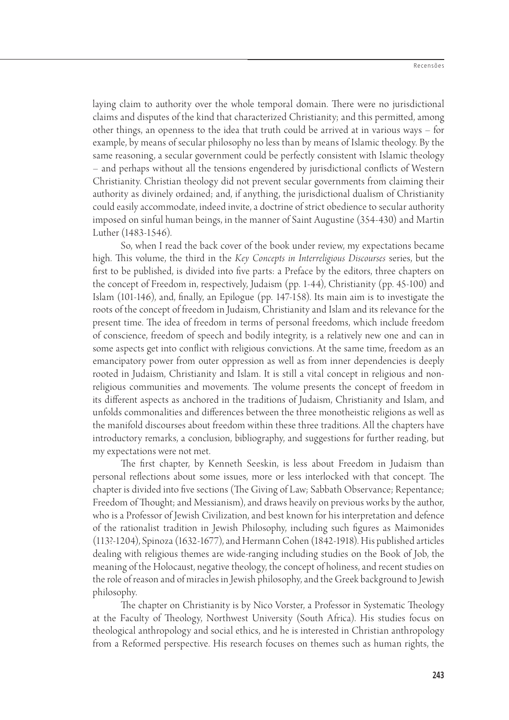laying claim to authority over the whole temporal domain. There were no jurisdictional claims and disputes of the kind that characterized Christianity; and this permitted, among other things, an openness to the idea that truth could be arrived at in various ways – for example, by means of secular philosophy no less than by means of Islamic theology. By the same reasoning, a secular government could be perfectly consistent with Islamic theology – and perhaps without all the tensions engendered by jurisdictional conflicts of Western Christianity. Christian theology did not prevent secular governments from claiming their authority as divinely ordained; and, if anything, the jurisdictional dualism of Christianity could easily accommodate, indeed invite, a doctrine of strict obedience to secular authority imposed on sinful human beings, in the manner of Saint Augustine (354-430) and Martin Luther (1483-1546).

So, when I read the back cover of the book under review, my expectations became high. This volume, the third in the *Key Concepts in Interreligious Discourses* series, but the first to be published, is divided into five parts: a Preface by the editors, three chapters on the concept of Freedom in, respectively, Judaism (pp. 1-44), Christianity (pp. 45-100) and Islam (101-146), and, finally, an Epilogue (pp. 147-158). Its main aim is to investigate the roots of the concept of freedom in Judaism, Christianity and Islam and its relevance for the present time. The idea of freedom in terms of personal freedoms, which include freedom of conscience, freedom of speech and bodily integrity, is a relatively new one and can in some aspects get into conflict with religious convictions. At the same time, freedom as an emancipatory power from outer oppression as well as from inner dependencies is deeply rooted in Judaism, Christianity and Islam. It is still a vital concept in religious and nonreligious communities and movements. The volume presents the concept of freedom in its different aspects as anchored in the traditions of Judaism, Christianity and Islam, and unfolds commonalities and differences between the three monotheistic religions as well as the manifold discourses about freedom within these three traditions. All the chapters have introductory remarks, a conclusion, bibliography, and suggestions for further reading, but my expectations were not met.

The first chapter, by Kenneth Seeskin, is less about Freedom in Judaism than personal reflections about some issues, more or less interlocked with that concept. The chapter is divided into five sections (The Giving of Law; Sabbath Observance; Repentance; Freedom of Thought; and Messianism), and draws heavily on previous works by the author, who is a Professor of Jewish Civilization, and best known for his interpretation and defence of the rationalist tradition in Jewish Philosophy, including such figures as Maimonides (113?-1204), Spinoza (1632-1677), and Hermann Cohen (1842-1918). His published articles dealing with religious themes are wide-ranging including studies on the Book of Job, the meaning of the Holocaust, negative theology, the concept of holiness, and recent studies on the role of reason and of miracles in Jewish philosophy, and the Greek background to Jewish philosophy.

The chapter on Christianity is by Nico Vorster, a Professor in Systematic Theology at the Faculty of Theology, Northwest University (South Africa). His studies focus on theological anthropology and social ethics, and he is interested in Christian anthropology from a Reformed perspective. His research focuses on themes such as human rights, the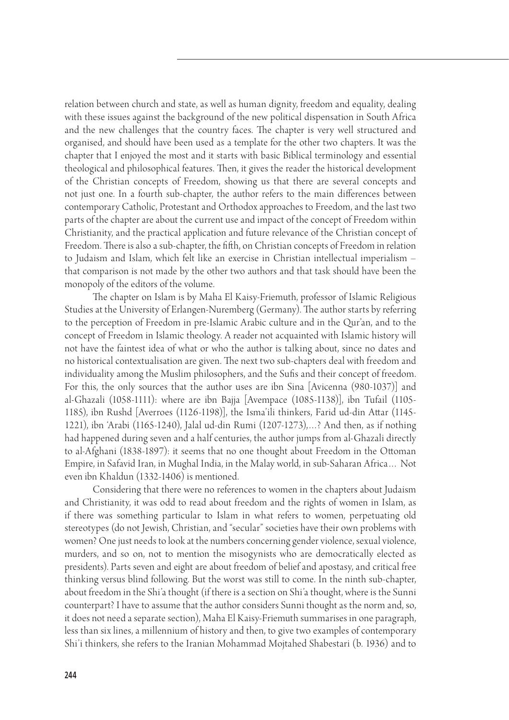relation between church and state, as well as human dignity, freedom and equality, dealing with these issues against the background of the new political dispensation in South Africa and the new challenges that the country faces. The chapter is very well structured and organised, and should have been used as a template for the other two chapters. It was the chapter that I enjoyed the most and it starts with basic Biblical terminology and essential theological and philosophical features. Then, it gives the reader the historical development of the Christian concepts of Freedom, showing us that there are several concepts and not just one. In a fourth sub-chapter, the author refers to the main differences between contemporary Catholic, Protestant and Orthodox approaches to Freedom, and the last two parts of the chapter are about the current use and impact of the concept of Freedom within Christianity, and the practical application and future relevance of the Christian concept of Freedom. There is also a sub-chapter, the fifth, on Christian concepts of Freedom in relation to Judaism and Islam, which felt like an exercise in Christian intellectual imperialism – that comparison is not made by the other two authors and that task should have been the monopoly of the editors of the volume.

The chapter on Islam is by Maha El Kaisy-Friemuth, professor of Islamic Religious Studies at the University of Erlangen-Nuremberg (Germany). The author starts by referring to the perception of Freedom in pre-Islamic Arabic culture and in the Qur'an, and to the concept of Freedom in Islamic theology. A reader not acquainted with Islamic history will not have the faintest idea of what or who the author is talking about, since no dates and no historical contextualisation are given. The next two sub-chapters deal with freedom and individuality among the Muslim philosophers, and the Sufis and their concept of freedom. For this, the only sources that the author uses are ibn Sina [Avicenna (980-1037)] and al-Ghazali (1058-1111): where are ibn Bajja [Avempace (1085-1138)], ibn Tufail (1105-1185), ibn Rushd [Averroes (1126-1198)], the Isma'ili thinkers, Farid ud-din Attar (1145-1221), ibn 'Arabi (1165-1240), Jalal ud-din Rumi (1207-1273),…? And then, as if nothing had happened during seven and a half centuries, the author jumps from al-Ghazali directly to al-Afghani (1838-1897): it seems that no one thought about Freedom in the Ottoman Empire, in Safavid Iran, in Mughal India, in the Malay world, in sub-Saharan Africa… Not even ibn Khaldun (1332-1406) is mentioned.

Considering that there were no references to women in the chapters about Judaism and Christianity, it was odd to read about freedom and the rights of women in Islam, as if there was something particular to Islam in what refers to women, perpetuating old stereotypes (do not Jewish, Christian, and "secular" societies have their own problems with women? One just needs to look at the numbers concerning gender violence, sexual violence, murders, and so on, not to mention the misogynists who are democratically elected as presidents). Parts seven and eight are about freedom of belief and apostasy, and critical free thinking versus blind following. But the worst was still to come. In the ninth sub-chapter, about freedom in the Shi'a thought (if there is a section on Shi'a thought, where is the Sunni counterpart? I have to assume that the author considers Sunni thought as the norm and, so, it does not need a separate section), Maha El Kaisy-Friemuth summarises in one paragraph, less than six lines, a millennium of history and then, to give two examples of contemporary Shi'i thinkers, she refers to the Iranian Mohammad Mojtahed Shabestari (b. 1936) and to